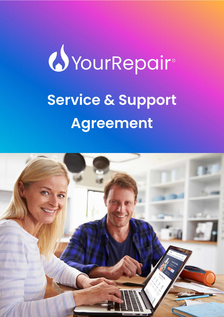# *U*YourRepair® **Service & Support Agreement**

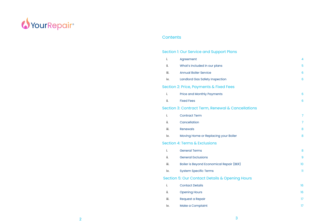

# Contents

# Section I: Our Service and Support Plans

| i.   | Agreement                                         | 4               |
|------|---------------------------------------------------|-----------------|
| ii.  | What's included in our plans                      | 5               |
| iii. | <b>Annual Boiler Service</b>                      | 6               |
| iv.  | Landlord Gas Safety Inspection                    | 6               |
|      | Section 2: Price, Payments & Fixed Fees           |                 |
| i.   | <b>Price and Monthly Payments</b>                 | $6\phantom{1}6$ |
| ii.  | <b>Fixed Fees</b>                                 | $6\phantom{1}6$ |
|      | Section 3: Contract Term, Renewal & Cancellations |                 |
| i.   | <b>Contract Term</b>                              | $\overline{7}$  |
| ii.  | Cancellation                                      | $\overline{7}$  |
| iii. | <b>Renewals</b>                                   | 8               |
| iv.  | Moving Home or Replacing your Boiler              | 8               |
|      | Section 4: Terms & Exclusions                     |                 |
| i.   | <b>General Terms</b>                              | 8               |
| ii.  | <b>General Exclusions</b>                         | 9               |
| iii. | Boiler is Beyond Economical Repair (BER)          | 10              |
| iv.  | <b>System Specific Terms</b>                      | n               |
|      | Section 5: Our Contact Details & Opening Hours    |                 |
| i.   | <b>Contact Details</b>                            | 16              |
| ii.  | <b>Opening Hours</b>                              | 16              |
| iii. | Request a Repair                                  | 17              |
| iv.  | Make a Complaint                                  | 17              |
|      |                                                   |                 |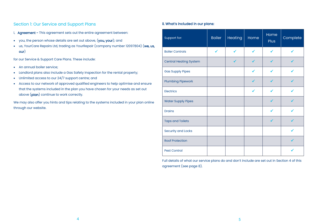# Section 1: Our Service and Support Plans

- i. Agreement This agreement sets out the entire agreement between:
- you, the person whose details are set out above, (you, your); and
- us, YourCare Repairs Ltd, trading as YourRepair (company number 12097804) (we, us, our)

for our Service & Support Care Plans. These include:

- An annual boiler service;
- Landlord plans also include a Gas Safety Inspection for the rental property;
- Unlimited access to our 24/7 support centre; and
- Access to our network of approved qualified engineers to help optimise and ensure that the systems included in the plan you have chosen for your needs as set out above (plan) continue to work correctly.

We may also offer you hints and tips relating to the systems included in your plan online through our website.

## ii. What's included in our plans:

| Support for:                  | <b>Boiler</b> | Heating | Home | Home<br><b>Plus</b> | Complete |
|-------------------------------|---------------|---------|------|---------------------|----------|
| <b>Boiler Controls</b>        | ✔             |         |      |                     |          |
| <b>Central Heating System</b> |               |         |      |                     |          |
| <b>Gas Supply Pipes</b>       |               |         |      |                     |          |
| <b>Plumbing Pipework</b>      |               |         | ✔    |                     |          |
| <b>Electrics</b>              |               |         | ✔    |                     |          |
| <b>Water Supply Pipes</b>     |               |         |      |                     |          |
| <b>Drains</b>                 |               |         |      |                     |          |
| <b>Taps and Toilets</b>       |               |         |      |                     |          |
| <b>Security and Locks</b>     |               |         |      |                     |          |
| <b>Roof Protection</b>        |               |         |      |                     |          |
| <b>Pest Control</b>           |               |         |      |                     |          |

Full details of what our service plans do and don't include are set out in Section 4 of this agreement (see page 8).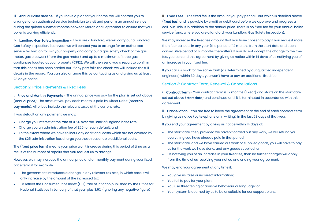iii. **Annual Boiler Service -** If you have a plan for your home, we will contact you to arrange for an authorised service technician to visit and perform an annual service during the quieter summer months between March and September to ensure that your boiler is working efficiently.

iv. Landlord Gas Safety Inspection - If you are a landlord, we will carry out a Landlord Gas Safety Inspection. Each year we will contact you to arrange for an authorised service technician to visit your property and carry out a gas safety check of the gas meter, gas pipework (from the gas meter) and up to a maximum of three gas appliances located at your property (CP12). We will then send you a report to confirm that this check has been carried out. If any part fails the check, we will include the full details in the record. You can also arrange this by contacting us and giving us at least 28 days' notice.

#### Section 2: Price, Payments & Fixed Fees

i. Price and Monthly Payments - The annual price you pay for the plan is set out above (annual price). The amount you pay each month is paid by Direct Debit (monthly payments). All prices include the relevant taxes at the current rate.

If you default on any payment we may:

- Charge you interest at the rate of 0.5% over the Bank of England base rate;
- Charge you an administration fee of £25 for each default; and
- To the extent where we have to incur any additional costs which are not covered by the £25 administration fee, charge you those reasonable additional costs.

The (fixed price term) means your price won't increase during this period of time as a result of the number of repairs that you request us to arrange.

However, we may increase the annual price and or monthly payment during your fixed price term if for example:

- The government introduces a change in any relevant tax rate, in which case it will only increase by the amount of the increased tax.
- To reflect the Consumer Price Index (CPI) rate of inflation published by the Office for National Statistics in January of that year plus 3.9% (ignoring any negative figure)

ii. Fixed Fees - The fixed fee is the amount you pay per call-out which is detailed above (fixed fee) and is payable by credit or debit card before we approve and progress a call-out. This is in addition to the annual price. There is no fixed fee for your annual boiler service (and, where you are a landlord, your Landlord Gas Safety Inspection).

We may increase the fixed fee amount that you have chosen to pay if you request more than four callouts in any year (the period of 12 months from the start date and each consecutive period of 12 months thereafter). If you do not accept the change to the fixed fee, you can end this agreement by giving us notice within 14 days of us notifying you of an increase in your fixed fee.

If you call us back for the same fault (as determined by our qualified independent engineers) within 30 days, you won't have to pay an additional fixed fee.

## Section 3: Contract Term, Renewal & Cancellations

i. Contract Term - Your contract term is 12 months (1 Year) and starts on the start date set out above (start date) and continues until it is terminated in accordance with this agreement.

ii. Cancellation - You are free to leave the agreement at the end of each contract term by giving us notice (by telephone or in writing) in the last 28 days of that year.

If you end your agreement by giving us notice within 14 days of:

- The start date, then, provided we haven't carried out any work, we will refund you everything you have already paid in that period;
- The start date, and we have carried out work or supplied goods, you will have to pay us for the work we have done, and any goods supplied; or
- Us notifying you of an increase in your fixed fee, then no further charges will apply from the time of us receiving your notice and ending your agreement.

We may end your agreement at any time if:

- You give us false or incorrect information;
- You fail to pay for your plan;
- You use threatening or abusive behaviour or language; or
- Your system is deemed by us to be unsuitable for our support plans.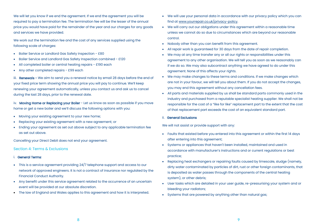We will let you know if we end the agreement. If we end the agreement you will be required to pay a termination fee. The termination fee will be the lesser of the annual price you would have paid for the remainder of the year and our charges for any goods and services we have provided.

We work out the termination fee and the cost of any services supplied using the following scale of charges:

- Boiler Service or Landlord Gas Safety Inspection £80
- Boiler Service and Landlord Gas Safety Inspection combined £120
- All completed boiler or central heating repairs £190 each
- Any other completed repairs £99 each

iii. Renewals - We aim to send you a renewal notice by email 28 days before the end of your fixed price term showing the annual price you will pay to continue. We'll keep renewing your agreement automatically, unless you contact us and ask us to cancel during the last 28 days, prior to the renewal date.

iv. Moving Home or Replacing your Boiler - Let us know as soon as possible if you move home or get a new boiler and we'll discuss the following options with you:

- Moving your existing agreement to your new home;
- Replacing your existing agreement with a new agreement; or
- Ending your agreement as set out above subject to any applicable termination fee as set out above.

Cancelling your Direct Debit does not end your agreement.

#### Section 4: Terms & Exclusions

#### i. General Terms:

- This is a service agreement providing 24/7 telephone support and access to our network of approved engineers. It is not a contract of insurance nor regulated by the Financial Conduct Authority.
- Any benefit under this service agreement related to the occurrence of an uncertain event will be provided at our absolute discretion.
- The law of England and Wales applies to this agreement and how it is interpreted.
- We will use your personal data in accordance with our privacy policy which you can find at www.yourrepair.co.uk/privacy-policy.
- We will carry out our obligations under this agreement within a reasonable time unless we cannot do so due to circumstances which are beyond our reasonable control.
- Nobody other than you can benefit from this agreement.
- All repair work is guaranteed for 30 days from the date of repair completion.
- We may at any time transfer any or all our rights or responsibilities under this agreement to any other organisation. We will tell you as soon as we reasonably can if we do so. We may also subcontract anything we have agreed to do under this agreement. None of this affects your rights.
- We may make changes to these terms and conditions. If we make changes which are not in your favour, we will tell you about them. If you do not accept the changes, you may end this agreement without any cancellation fees.
- All parts and materials supplied by us shall be standard parts commonly used in the industry and purchased from a reputable specialist heating supplier. We shall not be responsible for the cost of a "like for like" replacement part to the extent that the cost of that replacement part exceeds the cost of an equivalent standard part.

#### ii. General Exclusions

We will not assist or provide support with any:

- Faults that existed before you entered into this agreement or within the first 14 days after entering into this agreement;
- Systems or appliances that haven't been installed, maintained and used in accordance with manufacturer's instructions and or current regulations or best practice;
- Replacing heat exchangers or repairing faults caused by limescale, sludge (namely, dirty water contaminated by particles of dirt, rust or other foreign contaminants, that is deposited as water passes through the components of the central heating system), or other debris;
- User tasks which are detailed in your user guide, re-pressurising your system and or bleeding your radiators;
- Systems that are powered by anything other than natural gas;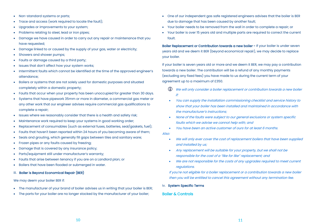- Non-standard systems or parts;
- Trace and access (work required to locate the fault);
- Upgrades or improvements to your system;
- Problems relating to steel, lead or iron pipes;
- Damage we have caused in order to carry out any repair or maintenance that you have requested;
- Damage linked to or caused by the supply of your gas, water or electricity;
- Showers and shower pumps;
- Faults or damage caused by a third party;
- Issues that don't affect how your system works;
- Intermittent faults which cannot be identified at the time of the approved engineer's attendance;
- Boilers or systems that are not solely used for domestic purposes and situated completely within a domestic property;
- Faults that occur when your property has been unoccupied for greater than 30 days.
- Systems that have pipework 35mm or more in diameter, a commercial gas meter or any other work that our engineer advises require commercial gas qualifications to complete a repair;
- Issues where we reasonably consider that there is a health and safety risk;
- Maintenance work required to keep your systems in good working order;
- Replacement of consumables (such as external fuses, batteries, seal/gaskets, fuel);
- Faults that haven't been reported within 24 hours of you becoming aware of them;
- Seals and grouting, which generally fill gaps between tiles and sanitary ware;
- Frozen pipes or any faults caused by freezing;
- Damage that is covered by any insurance policy;
- Parts/equipment still under manufacturer's warranty;
- Faults that arise between tenancy if you are on a Landlord plan; or
- Boilers that have been flooded or submerged in water.

#### iii. Boiler is Beyond Economical Repair (BER)

We may deem your boiler BER if:

- The manufacturer of your brand of boiler advises us in writing that your boiler is BER;
- The parts for your boiler are no longer stocked by the manufacturer of your boiler;
- One of our independent gas safe registered engineers advises that the boiler is BER due to damage that has been caused by another fault;
- Your boiler needs to be removed from the wall in order to complete a repair; or
- Your boiler is over 15 years old and multiple parts are required to correct the current fault.

Boiler Replacement or Contribution towards a new boiler - If your boiler is under seven years old and we deem it BER (beyond economical repair), we may decide to replace your boiler.

If your boiler is seven years old or more and we deem it BER, we may pay a contribution towards a new boiler. The contribution will be a refund of any monthly payments (excluding any fixed fees) you have made to us during the current term of your agreement up to a maximum of £350.

- We will only consider a boiler replacement or contribution towards a new boiler if:
- You can supply the installation commissioning checklist and service history to show that your boiler has been installed and maintained in accordance with the manufacturer's instructions;
- None of the faults were subject to our general exclusions or system specific faults which we advise we cannot help with; and
- You have been an active customer of ours for at least 6 months.

Also:

- We will only ever cover the cost of replacement boilers that have been supplied and installed by us;
- Any replacement will be suitable for your property, but we shall not be responsible for the cost of a "like for like" replacement; and
- We are not responsible for the costs of any upgrades required to meet current regulations.

If you're not eligible for a boiler replacement or a contribution towards a new boiler then you will be entitled to cancel this agreement without any termination fee.

iv. System Specific Terms

#### Boiler & Controls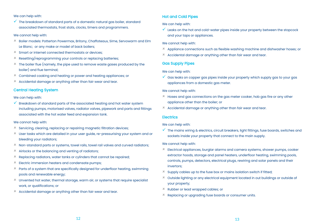#### We can help with:

 $\checkmark$  The breakdown of standard parts of a domestic natural gas boiler, standard associated thermostats, frost stats, clocks, timers and programmers.

#### We cannot help with:

- Boiler models: Potterton Powermax, Britony, Chaffoteaux, Sime, Servowarm and Elm Le Blanc; or any make or model of back boilers;
- Smart or internet connected thermostats or devices;
- Resetting/reprogramming your controls or replacing batteries;
- $*$  The boiler flue (namely, the pipe used to remove waste gases produced by the boiler) and flue terminal;
- Combined cooking and heating or power and heating appliances; or
- $*$  Accidental damage or anything other than fair wear and tear.

## Central Heating System

#### We can help with:

 $\checkmark$  Breakdown of standard parts of the associated heating and hot water system including pumps, motorised valves, radiator valves, pipework and parts and fittings associated with the hot water feed and expansion tank.

#### We cannot help with:

- $*$  Servicing, clearing, replacing or repairing magnetic filtration devices;
- User tasks which are detailed in your user guide, re-pressurising your system and or bleeding your radiators;
- $*$  Non-standard parts or systems, towel rails, towel rail valves and curved radiators;
- $*$  Airlocks or the balancing and venting of radiators;
- $*$  Replacing radiators, water tanks or cylinders that cannot be repaired;
- $*$  Electric immersion heaters and condensate pumps;
- $*$  Parts of a system that are specifically designed for underfloor heating, swimming pools and renewable energy;
- Unvented hot water, thermal storage, warm air, or systems that require specialist work, or qualifications; or
- $*$  Accidental damage or anything other than fair wear and tear.

## Hot and Cold Pipes

We can help with:

 $\checkmark$  Leaks on the hot and cold-water pipes inside your property between the stopcock and your taps or appliances.

#### We cannot help with:

- $*$  Appliance connections such as flexible washing machine and dishwasher hoses; or
- $*$  Accidental damage or anything other than fair wear and tear.

## Gas Supply Pipes

#### We can help with:

 $\checkmark$  Gas leaks on copper gas pipes inside your property which supply gas to your gas appliances from a domestic gas meter.

#### We cannot help with:

- Hoses and gas connections on the gas meter cooker, hob gas fire or any other appliance other than the boiler; or
- $*$  Accidental damage or anything other than fair wear and tear.

#### **Electrics**

#### We can help with:

 $\checkmark$  The mains wiring & electrics, circuit breakers, light fittings, fuse boards, switches and sockets inside your property that connect to the main supply.

#### We cannot help with:

- $*$  Electrical appliances, burglar alarms and camera systems, shower pumps, cooker extractor hoods, storage and panel heaters, underfloor heating, swimming pools, controls, pumps, detectors, electrical plugs, rewiring and solar panels and their invertors;
- $*$  Supply cables up to the fuse box or mains isolation switch if fitted;
- Outside lighting or any electrical equipment located in out buildings or outside of your property;
- Rubber or lead wrapped cables; or
- Replacing or upgrading fuse boards or consumer units.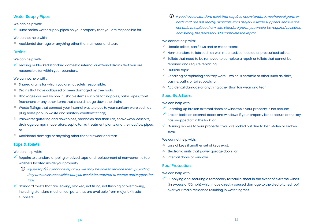# Water Supply Pipes

We can help with:

 $\checkmark$  Burst mains water supply pipes on your property that you are responsible for.

We cannot help with:

Accidental damage or anything other than fair wear and tear.

# **Drains**

## We can help with:

 $\checkmark$  Leaking or blocked standard domestic internal or external drains that you are responsible for within your boundary.

## We cannot help with:

- $*$  Shared drains for which you are not solely responsible;
- $*$  Drains that have collapsed or been damaged by tree roots;
- $*$  Blockages caused by non-flushable items such as fat, nappies, baby wipes, toilet fresheners or any other items that should not go down the drain;
- $*$  Waste fittings that connect your internal waste pipes to your sanitary ware such as plug holes pop up waste and sanitary overflow fittings;
- $*$  Rainwater guttering and downpipes, manholes and their lids, soakaways, cesspits, drainage pumps, macerators, septic tanks, treatment plants and their outflow pipes; or
- Accidental damage or anything other than fair wear and tear.

# Taps & Toilets

We can help with:

- $\checkmark$  Repairs to standard dripping or seized taps, and replacement of non-ceramic tap washers located inside your property.
	- $\bigoplus$  If your tap(s) cannot be repaired, we may be able to replace them providing they are easily accessible, but you would be required to source and supply the taps.
- $\checkmark$  Standard toilets that are leaking, blocked, not filling, not flushing or overflowing. including standard mechanical parts that are available from major UK trade suppliers.

 If you have a standard toilet that requires non-standard mechanical parts or parts that are not readily available from major UK trade suppliers and we are not able to replace them with standard parts, you would be required to source and supply the parts for us to complete the repair.

## We cannot help with:

- $*$  Electric toilets, saniflows and or macerators;
- $*$  Non-standard toilets such as wall mounted, concealed or pressurised toilets;
- $*$  Toilets that need to be removed to complete a repair or toilets that cannot be repaired and require replacing;
- Outside taps;
- $*$  Repairing or replacing sanitary ware which is ceramic or other such as sinks. basins, baths or toilet bowls; or
- $*$  Accidental damage or anything other than fair wear and tear.

# Security & Locks

We can help with:

- $\checkmark$  Boarding up broken external doors or windows if your property is not secure;
- $\checkmark$  Broken locks on external doors and windows if your property is not secure or the key has snapped off in the lock; or
- $\checkmark$  Gaining access to your property if you are locked out due to lost, stolen or broken keys.

We cannot help with:

- Loss of keys if another set of keys exist;
- Electronic units that power garage doors; or
- $*$  Internal doors or windows.

# Roof Protection

We can help with:

 $\checkmark$  Supplying and securing a temporary tarpaulin sheet in the event of extreme winds (in excess of 55mph) which have directly caused damage to the tiled pitched roof over your main residence resulting in water ingress.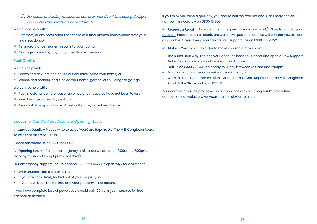For health and safety reasons we can only attend roof jobs during daylight hours when the weather is dry and stable.

#### We cannot help with:

- $*$  Flat roofs, or any roofs other than those of a tiled pitched construction over your main residence;
- Temporary or permanent repairs to your roof; or
- Damage caused by anything other than extreme wind.

# Pest Control

We can help with:

- $\checkmark$  Brown or black rats and house or field mice inside your home; or
- $\checkmark$  Wasps and hornets' nests inside your home, garden, outbuildings or garage.

#### We cannot help with:

- $*$  Pest infestations where reasonable hygiene measures have not been taken;
- $*$  Any damage caused by pests; or
- Removal of wasps or hornets' nests after they have been treated.

## Section 5: Our Contact Details & Opening Hours

i. Contact Details - Please write to us at: YourCare Repairs Ltd, The Mill, Congleton Road, Talke, Stoke on Trent, ST7 1NE.

Please telephone us on 0330 223 4422.

ii. Opening Hours - For non-emergency assistance we are open 8:00am to 7:00pm, Monday to Friday (except public holidays).

Our emergency support line (telephone 0330 223 4422) is open 24/7 for assistance:

- With uncontrollable water leaks;
- If you are completely locked out of your property; or
- If you have been broken into and your property is not secure.

If you have complete loss of power, you should call 105 from your handset for free national assistance.

If you think you have a gas leak, you should call the free National Gas Emergencies number immediately on 0800 111 999.

iii. Request a Repair - It's super-fast to request a repair online 24/7. Simply login to your account, head to Book a Repair, answer a few questions and we will contact you as soon as possible. Alternatively, you can call our support line on 0330 223 4422.

iv. Make a Complaint - In order to make a complaint you can:

- The super-fast way: Login to your account, head to Support and open a New Support Ticket. You can also upload images if applicable;
- Call us on 0330 223 4422 Monday to Friday between 9:00am and 5:00pm.
- Email us at: customerservice@yourrepair.co.uk; or
- Write to us at: Customer Relations Manager, YourCare Repairs Ltd, The Mill, Congleton Road, Talke, Stoke on Trent, ST7 1NE.

Your complaint will be processed in accordance with our complaint's procedure detailed on our website www.yourrepair.co.uk/complaints.